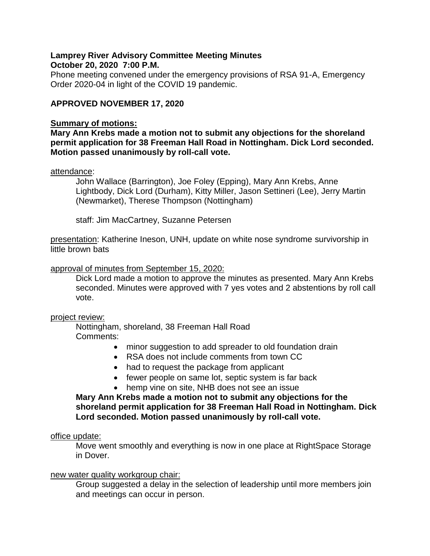### **Lamprey River Advisory Committee Meeting Minutes October 20, 2020 7:00 P.M.**

Phone meeting convened under the emergency provisions of RSA 91-A, Emergency Order 2020-04 in light of the COVID 19 pandemic.

# **APPROVED NOVEMBER 17, 2020**

### **Summary of motions:**

**Mary Ann Krebs made a motion not to submit any objections for the shoreland permit application for 38 Freeman Hall Road in Nottingham. Dick Lord seconded. Motion passed unanimously by roll-call vote.** 

### attendance:

John Wallace (Barrington), Joe Foley (Epping), Mary Ann Krebs, Anne Lightbody, Dick Lord (Durham), Kitty Miller, Jason Settineri (Lee), Jerry Martin (Newmarket), Therese Thompson (Nottingham)

staff: Jim MacCartney, Suzanne Petersen

presentation: Katherine Ineson, UNH, update on white nose syndrome survivorship in little brown bats

### approval of minutes from September 15, 2020:

Dick Lord made a motion to approve the minutes as presented. Mary Ann Krebs seconded. Minutes were approved with 7 yes votes and 2 abstentions by roll call vote.

#### project review:

Nottingham, shoreland, 38 Freeman Hall Road Comments:

- minor suggestion to add spreader to old foundation drain
- RSA does not include comments from town CC
- had to request the package from applicant
- fewer people on same lot, septic system is far back
- hemp vine on site, NHB does not see an issue

# **Mary Ann Krebs made a motion not to submit any objections for the shoreland permit application for 38 Freeman Hall Road in Nottingham. Dick Lord seconded. Motion passed unanimously by roll-call vote.**

#### office update:

Move went smoothly and everything is now in one place at RightSpace Storage in Dover.

## new water quality workgroup chair:

Group suggested a delay in the selection of leadership until more members join and meetings can occur in person.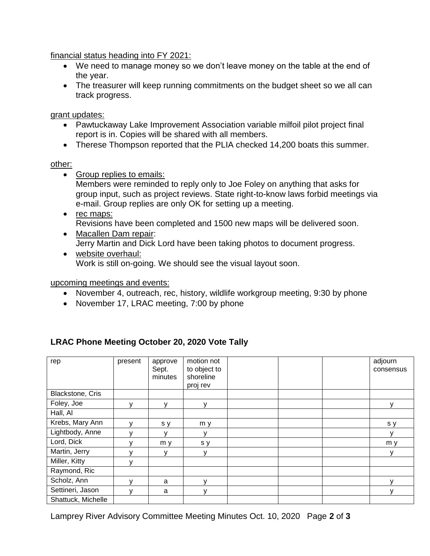financial status heading into FY 2021:

- We need to manage money so we don't leave money on the table at the end of the year.
- The treasurer will keep running commitments on the budget sheet so we all can track progress.

grant updates:

- Pawtuckaway Lake Improvement Association variable milfoil pilot project final report is in. Copies will be shared with all members.
- Therese Thompson reported that the PLIA checked 14,200 boats this summer.

# other:

- Group replies to emails: Members were reminded to reply only to Joe Foley on anything that asks for group input, such as project reviews. State right-to-know laws forbid meetings via e-mail. Group replies are only OK for setting up a meeting.
- rec maps: Revisions have been completed and 1500 new maps will be delivered soon.
- Macallen Dam repair: Jerry Martin and Dick Lord have been taking photos to document progress.
- website overhaul: Work is still on-going. We should see the visual layout soon.

upcoming meetings and events:

- November 4, outreach, rec, history, wildlife workgroup meeting, 9:30 by phone
- November 17, LRAC meeting, 7:00 by phone

| rep                | present | approve | motion not   |  | adjourn   |
|--------------------|---------|---------|--------------|--|-----------|
|                    |         | Sept.   | to object to |  | consensus |
|                    |         | minutes | shoreline    |  |           |
|                    |         |         | proj rev     |  |           |
|                    |         |         |              |  |           |
| Blackstone, Cris   |         |         |              |  |           |
| Foley, Joe         | v       | v       | v            |  | v         |
| Hall, Al           |         |         |              |  |           |
| Krebs, Mary Ann    | v       | s y     | m y          |  | s y       |
| Lightbody, Anne    |         |         | у            |  | у         |
| Lord, Dick         | v       | m y     | s y          |  | m y       |
| Martin, Jerry      |         | ۷       | v            |  | у         |
| Miller, Kitty      | v       |         |              |  |           |
| Raymond, Ric       |         |         |              |  |           |
| Scholz, Ann        | v       | a       | ۷            |  | v         |
| Settineri, Jason   | v       | a       | v            |  | v         |
| Shattuck, Michelle |         |         |              |  |           |

# **LRAC Phone Meeting October 20, 2020 Vote Tally**

Lamprey River Advisory Committee Meeting Minutes Oct. 10, 2020 Page **2** of **3**